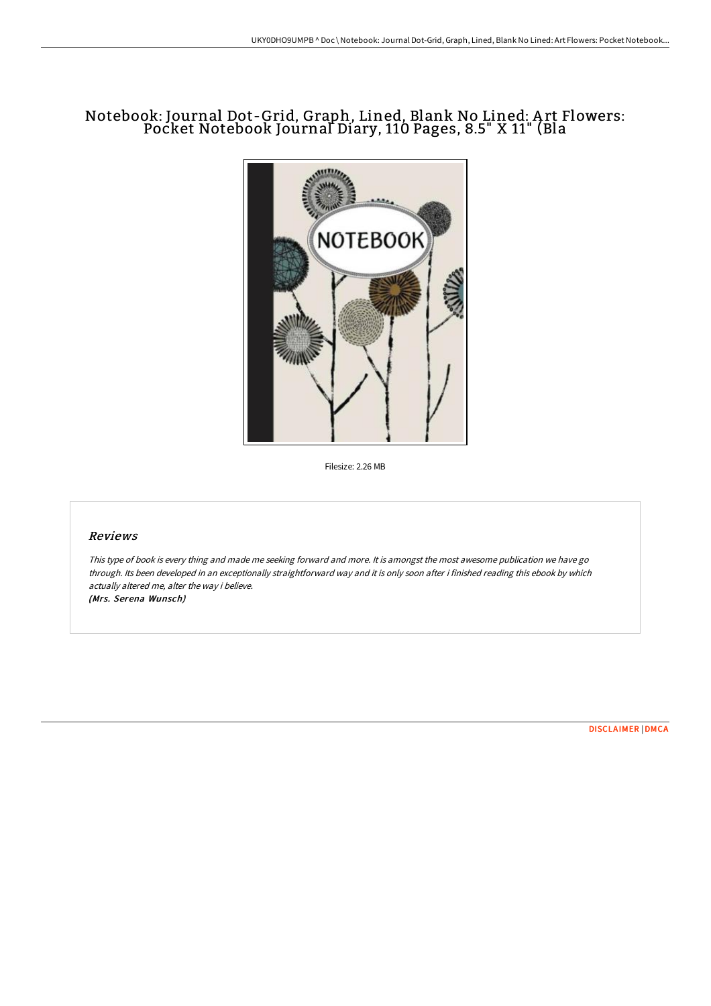# Notebook: Journal Dot-Grid, Graph, Lined, Blank No Lined: A rt Flowers: Pocket Notebook Journal Diary, 110 Pages, 8.5" X 11" (Bla



Filesize: 2.26 MB

### Reviews

This type of book is every thing and made me seeking forward and more. It is amongst the most awesome publication we have go through. Its been developed in an exceptionally straightforward way and it is only soon after i finished reading this ebook by which actually altered me, alter the way i believe. (Mrs. Serena Wunsch)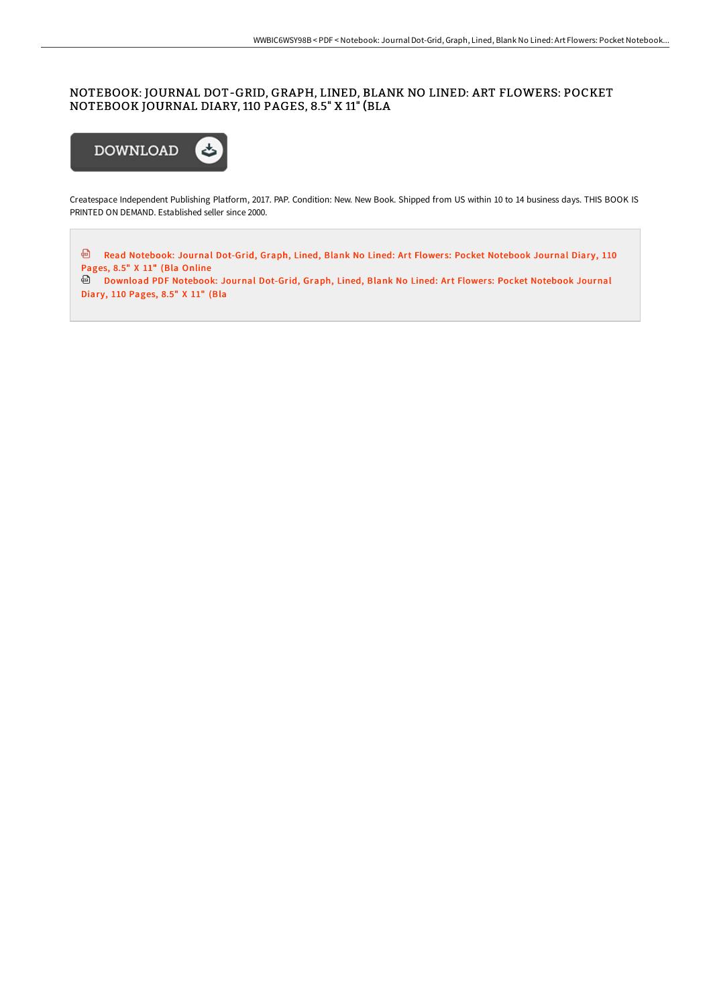### NOTEBOOK: JOURNAL DOT-GRID, GRAPH, LINED, BLANK NO LINED: ART FLOWERS: POCKET NOTEBOOK JOURNAL DIARY, 110 PAGES, 8.5" X 11" (BLA



Createspace Independent Publishing Platform, 2017. PAP. Condition: New. New Book. Shipped from US within 10 to 14 business days. THIS BOOK IS PRINTED ON DEMAND. Established seller since 2000.

<sup>回</sup> Read [Notebook:](http://bookera.tech/notebook-journal-dot-grid-graph-lined-blank-no-l-360.html) Journal Dot-Grid, Graph, Lined, Blank No Lined: Art Flowers: Pocket Notebook Journal Diary, 110 Pages, 8.5" X 11" (Bla Online

Download PDF [Notebook:](http://bookera.tech/notebook-journal-dot-grid-graph-lined-blank-no-l-360.html) Journal Dot-Grid, Graph, Lined, Blank No Lined: Art Flowers: Pocket Notebook Journal Diary, 110 Pages, 8.5" X 11" (Bla